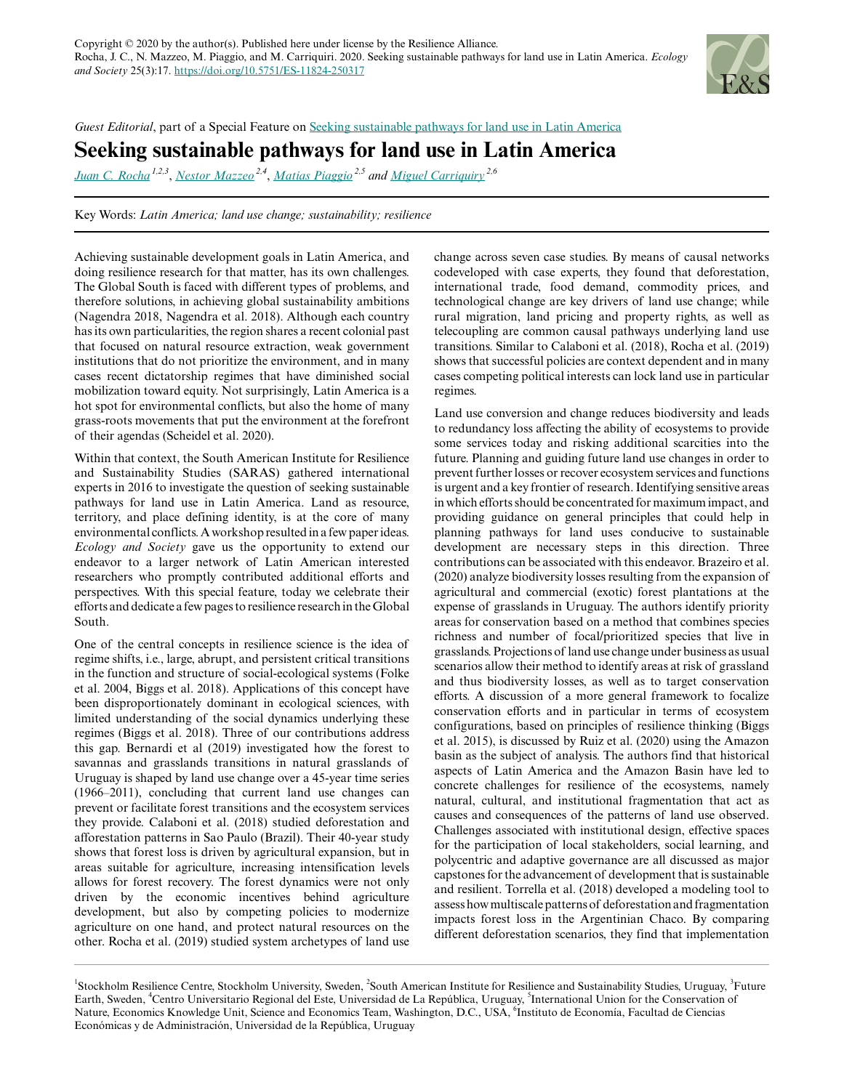

*Guest Editorial*, part of a Special Feature on [Seeking sustainable pathways for land use in Latin America](https://www.ecologyandsociety.org/viewissue.php?sf=130) **Seeking sustainable pathways for land use in Latin America**

*[Juan C. Rocha](mailto:juan.rocha@su.se) 1,2,3* , *[Nestor Mazzeo](mailto:mazzeobeyhaut@yahoo.com) 2,4* , *[Matias Piaggio](mailto:Matias.piaggio@gmail.com) 2,5 and [Miguel Carriquiry](mailto:mcarriquiry@iecon.ccee.edu.uy) 2,6*

Key Words: *Latin America; land use change; sustainability; resilience*

Achieving sustainable development goals in Latin America, and doing resilience research for that matter, has its own challenges. The Global South is faced with different types of problems, and therefore solutions, in achieving global sustainability ambitions (Nagendra 2018, Nagendra et al. 2018). Although each country has its own particularities, the region shares a recent colonial past that focused on natural resource extraction, weak government institutions that do not prioritize the environment, and in many cases recent dictatorship regimes that have diminished social mobilization toward equity. Not surprisingly, Latin America is a hot spot for environmental conflicts, but also the home of many grass-roots movements that put the environment at the forefront of their agendas (Scheidel et al. 2020).

Within that context, the South American Institute for Resilience and Sustainability Studies (SARAS) gathered international experts in 2016 to investigate the question of seeking sustainable pathways for land use in Latin America. Land as resource, territory, and place defining identity, is at the core of many environmental conflicts. A workshop resulted in a few paper ideas. *Ecology and Society* gave us the opportunity to extend our endeavor to a larger network of Latin American interested researchers who promptly contributed additional efforts and perspectives. With this special feature, today we celebrate their efforts and dedicate a few pages to resilience research in the Global South.

One of the central concepts in resilience science is the idea of regime shifts, i.e., large, abrupt, and persistent critical transitions in the function and structure of social-ecological systems (Folke et al. 2004, Biggs et al. 2018). Applications of this concept have been disproportionately dominant in ecological sciences, with limited understanding of the social dynamics underlying these regimes (Biggs et al. 2018). Three of our contributions address this gap. Bernardi et al (2019) investigated how the forest to savannas and grasslands transitions in natural grasslands of Uruguay is shaped by land use change over a 45-year time series (1966–2011), concluding that current land use changes can prevent or facilitate forest transitions and the ecosystem services they provide. Calaboni et al. (2018) studied deforestation and afforestation patterns in Sao Paulo (Brazil). Their 40-year study shows that forest loss is driven by agricultural expansion, but in areas suitable for agriculture, increasing intensification levels allows for forest recovery. The forest dynamics were not only driven by the economic incentives behind agriculture development, but also by competing policies to modernize agriculture on one hand, and protect natural resources on the other. Rocha et al. (2019) studied system archetypes of land use

change across seven case studies. By means of causal networks codeveloped with case experts, they found that deforestation, international trade, food demand, commodity prices, and technological change are key drivers of land use change; while rural migration, land pricing and property rights, as well as telecoupling are common causal pathways underlying land use transitions. Similar to Calaboni et al. (2018), Rocha et al. (2019) shows that successful policies are context dependent and in many cases competing political interests can lock land use in particular regimes.

Land use conversion and change reduces biodiversity and leads to redundancy loss affecting the ability of ecosystems to provide some services today and risking additional scarcities into the future. Planning and guiding future land use changes in order to prevent further losses or recover ecosystem services and functions is urgent and a key frontier of research. Identifying sensitive areas in which efforts should be concentrated for maximum impact, and providing guidance on general principles that could help in planning pathways for land uses conducive to sustainable development are necessary steps in this direction. Three contributions can be associated with this endeavor. Brazeiro et al. (2020) analyze biodiversity losses resulting from the expansion of agricultural and commercial (exotic) forest plantations at the expense of grasslands in Uruguay. The authors identify priority areas for conservation based on a method that combines species richness and number of focal/prioritized species that live in grasslands. Projections of land use change under business as usual scenarios allow their method to identify areas at risk of grassland and thus biodiversity losses, as well as to target conservation efforts. A discussion of a more general framework to focalize conservation efforts and in particular in terms of ecosystem configurations, based on principles of resilience thinking (Biggs et al. 2015), is discussed by Ruiz et al. (2020) using the Amazon basin as the subject of analysis. The authors find that historical aspects of Latin America and the Amazon Basin have led to concrete challenges for resilience of the ecosystems, namely natural, cultural, and institutional fragmentation that act as causes and consequences of the patterns of land use observed. Challenges associated with institutional design, effective spaces for the participation of local stakeholders, social learning, and polycentric and adaptive governance are all discussed as major capstones for the advancement of development that is sustainable and resilient. Torrella et al. (2018) developed a modeling tool to assess how multiscale patterns of deforestation and fragmentation impacts forest loss in the Argentinian Chaco. By comparing different deforestation scenarios, they find that implementation

<sup>&</sup>lt;sup>1</sup>Stockholm Resilience Centre, Stockholm University, Sweden, <sup>2</sup>South American Institute for Resilience and Sustainability Studies, Uruguay, <sup>3</sup>Future Earth, Sweden, <sup>4</sup>Centro Universitario Regional del Este, Universidad de La República, Uruguay, <sup>5</sup>International Union for the Conservation of Nature, Economics Knowledge Unit, Science and Economics Team, Washington, D.C., USA, <sup>6</sup>Instituto de Economía, Facultad de Ciencias Económicas y de Administración, Universidad de la República, Uruguay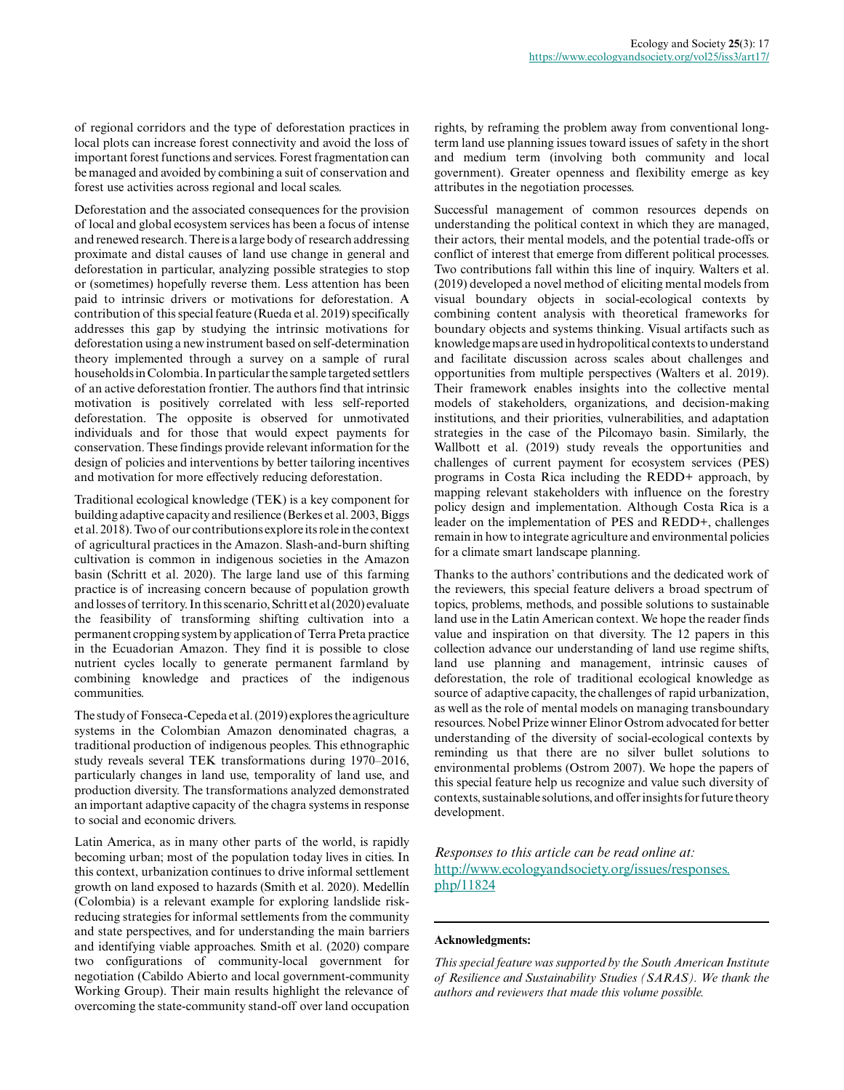of regional corridors and the type of deforestation practices in local plots can increase forest connectivity and avoid the loss of important forest functions and services. Forest fragmentation can be managed and avoided by combining a suit of conservation and forest use activities across regional and local scales.

Deforestation and the associated consequences for the provision of local and global ecosystem services has been a focus of intense and renewed research. There is a large body of research addressing proximate and distal causes of land use change in general and deforestation in particular, analyzing possible strategies to stop or (sometimes) hopefully reverse them. Less attention has been paid to intrinsic drivers or motivations for deforestation. A contribution of this special feature (Rueda et al. 2019) specifically addresses this gap by studying the intrinsic motivations for deforestation using a new instrument based on self-determination theory implemented through a survey on a sample of rural households in Colombia. In particular the sample targeted settlers of an active deforestation frontier. The authors find that intrinsic motivation is positively correlated with less self-reported deforestation. The opposite is observed for unmotivated individuals and for those that would expect payments for conservation. These findings provide relevant information for the design of policies and interventions by better tailoring incentives and motivation for more effectively reducing deforestation.

Traditional ecological knowledge (TEK) is a key component for building adaptive capacity and resilience (Berkes et al. 2003, Biggs et al. 2018). Two of our contributions explore its role in the context of agricultural practices in the Amazon. Slash-and-burn shifting cultivation is common in indigenous societies in the Amazon basin (Schritt et al. 2020). The large land use of this farming practice is of increasing concern because of population growth and losses of territory. In this scenario, Schritt et al (2020) evaluate the feasibility of transforming shifting cultivation into a permanent cropping system by application of Terra Preta practice in the Ecuadorian Amazon. They find it is possible to close nutrient cycles locally to generate permanent farmland by combining knowledge and practices of the indigenous communities.

The study of Fonseca-Cepeda et al. (2019) explores the agriculture systems in the Colombian Amazon denominated chagras, a traditional production of indigenous peoples. This ethnographic study reveals several TEK transformations during 1970–2016, particularly changes in land use, temporality of land use, and production diversity. The transformations analyzed demonstrated an important adaptive capacity of the chagra systems in response to social and economic drivers.

Latin America, as in many other parts of the world, is rapidly becoming urban; most of the population today lives in cities. In this context, urbanization continues to drive informal settlement growth on land exposed to hazards (Smith et al. 2020). Medellín (Colombia) is a relevant example for exploring landslide riskreducing strategies for informal settlements from the community and state perspectives, and for understanding the main barriers and identifying viable approaches. Smith et al. (2020) compare two configurations of community-local government for negotiation (Cabildo Abierto and local government-community Working Group). Their main results highlight the relevance of overcoming the state-community stand-off over land occupation

rights, by reframing the problem away from conventional longterm land use planning issues toward issues of safety in the short and medium term (involving both community and local government). Greater openness and flexibility emerge as key attributes in the negotiation processes.

Successful management of common resources depends on understanding the political context in which they are managed, their actors, their mental models, and the potential trade-offs or conflict of interest that emerge from different political processes. Two contributions fall within this line of inquiry. Walters et al. (2019) developed a novel method of eliciting mental models from visual boundary objects in social-ecological contexts by combining content analysis with theoretical frameworks for boundary objects and systems thinking. Visual artifacts such as knowledge maps are used in hydropolitical contexts to understand and facilitate discussion across scales about challenges and opportunities from multiple perspectives (Walters et al. 2019). Their framework enables insights into the collective mental models of stakeholders, organizations, and decision-making institutions, and their priorities, vulnerabilities, and adaptation strategies in the case of the Pilcomayo basin. Similarly, the Wallbott et al. (2019) study reveals the opportunities and challenges of current payment for ecosystem services (PES) programs in Costa Rica including the REDD+ approach, by mapping relevant stakeholders with influence on the forestry policy design and implementation. Although Costa Rica is a leader on the implementation of PES and REDD+, challenges remain in how to integrate agriculture and environmental policies for a climate smart landscape planning.

Thanks to the authors' contributions and the dedicated work of the reviewers, this special feature delivers a broad spectrum of topics, problems, methods, and possible solutions to sustainable land use in the Latin American context. We hope the reader finds value and inspiration on that diversity. The 12 papers in this collection advance our understanding of land use regime shifts, land use planning and management, intrinsic causes of deforestation, the role of traditional ecological knowledge as source of adaptive capacity, the challenges of rapid urbanization, as well as the role of mental models on managing transboundary resources. Nobel Prize winner Elinor Ostrom advocated for better understanding of the diversity of social-ecological contexts by reminding us that there are no silver bullet solutions to environmental problems (Ostrom 2007). We hope the papers of this special feature help us recognize and value such diversity of contexts, sustainable solutions, and offer insights for future theory development.

*Responses to this article can be read online at:* [http://www.ecologyandsociety.org/issues/responses.](http://www.ecologyandsociety.org/issues/responses.php/11824) [php/11824](http://www.ecologyandsociety.org/issues/responses.php/11824)

## **Acknowledgments:**

*This special feature was supported by the South American Institute of Resilience and Sustainability Studies (SARAS). We thank the authors and reviewers that made this volume possible.*